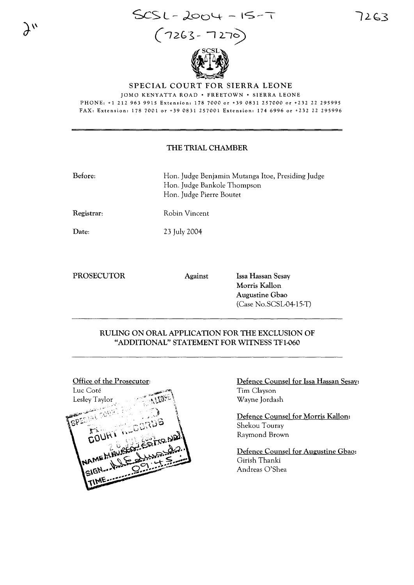

SPECIAL COURT FOR SIERRA LEONE

JOMO KENYATTA ROAD · FREETOWN · SIERRA LEONE PHONE: +1 212 963 9915 Extension: 178 7000 or +39 0831 257000 or +232 22 295995 FAX: Extension: 178 7001 or +39 0831 257001 Extension: 174 6996 or +232 22 295996

### THE TRIAL CHAMBER

Before: Han. Judge Benjamin Mutanga Itoe, Presiding Judge Han. Judge Bankole Thompson Han. Judge Pierre Boutet

Registrar: Robin Vincent

Date:

 $\lambda^{\prime\prime}$ 

23 July 2004

PROSECUTOR Against Issa Hassan Sesay

Morris Kallon Augustine Gbao (Case No.SCSL-04-15-T)

## RULING ON ORAL APPLICATION FOR THE EXCLUSION OF "ADDITIONAL" STATEMENT FOR WITNESS TF1-060



# Defence Counsel for Issa Hassan Sesay: Tim Clayson Wayne Jordash

Defence Counsel for Morris Kallon: Shekou Touray Raymond Brown

Defence Counsel for Augustine Gbao: Girish Thanki Andreas O'Shea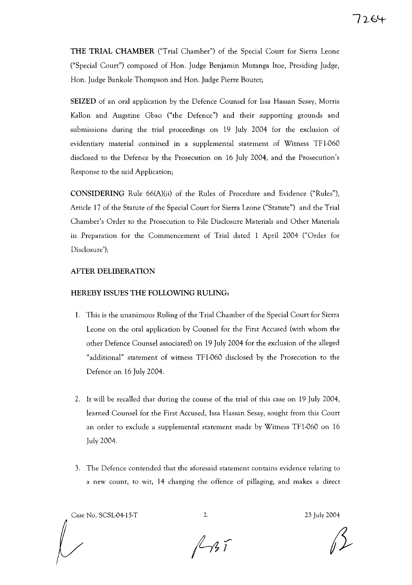**THE TRIAL CHAMBER** ("Trial Chamber") of the Special Court for Sierra Leone ("Special Court") composed of Hon. Judge Benjamin Mutanga Itoe, Presiding Judge, Hon. Judge Bankole Thompson and Hon. Judge Pierre Boutet;

**SEIZED** of an oral application by the Defence Counsel for lssa Hassan Sesay, Morris Kallon and Augstine Gbao ("the Defence") and their supporting grounds and submissions during the trial proceedings on 19 July 2004 for the exclusion of evidentiary material contained in a supplemental statement of Witness TF 1-060 disclosed to the Defence by the Prosecution on 16 July 2004, and the Prosecution's Response to the said Application;

**CONSIDERING** Rule 66(A)(ii) of the Rules of Procedure and Evidence ("Rules"), Article 17 of the Statute of the Special Court for Sierra Leone ("Statute") and the Trial Chamber's Order to the Prosecution to File Disclosure Materials and Other Materials in Preparation for the Commencement of Trial dated 1 April 2004 ("Order for Disclosure');

### **AFTER DELIBERATION**

### **HEREBY ISSUES THE FOLLOWING RULING:**

- 1. This is the unanimous Ruling of the Trial Chamber of the Special Court for Sierra Leone on the oral application by Counsel for the First Accused (with whom the other Defence Counsel associated) on 19 July 2004 for the exclusion of the alleged "additional" statement of witness TF1-060 disclosed by the Prosecution to the Defence on 16 July 2004.
- 2. It will be recalled that during the course of the trial of this case on 19 July 2004, learned Counsel for the First Accused, lssa Hassan Sesay, sought from this Court an order to exclude a supplemental statement made by Witness TF1-060 on 16 July 2004.
- 3. The Defence contended that the aforesaid statement contains evidence relating to a new count, to wit, **14** charging the offence of pillaging, and makes a direct

Case No. SCSL04-15-T 2. 23 July 2004

 $1457$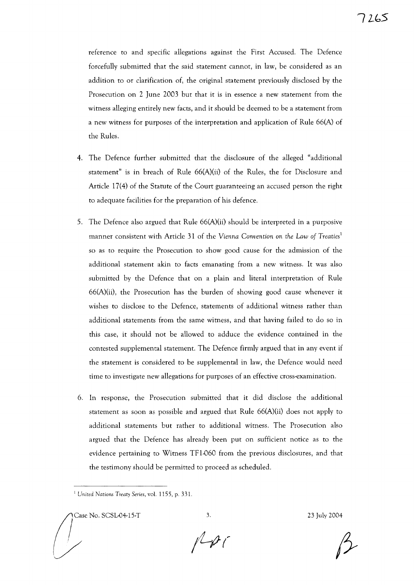reference to and specific allegations against the First Accused. The Defence forcefully submitted that the said statement cannot, in law, be considered as an addition to or clarification of, the original statement previously disclosed by the Prosecution on 2 June 2003 but that it is in essence a new statement from the witness alleging entirely new facts, and it should be deemed to be a statement from a new witness for purposes of the interpretation and application of Rule 66(A) of the Rules.

- 4. The Defence further submitted that the disclosure of the alleged "additional statement" is in breach of Rule 66(A)(ii) of the Rules, the for Disclosure and Article 17(4) of the Statute of the Court guaranteeing an accused person the right to adequate facilities for the preparation of his defence.
- 5. The Defence also argued that Rule 66(A)(ii) should be interpreted in a purposive manner consistent with Article 31 of the *Vienna Convention* on *the Law of Treaties <sup>1</sup>* so as to require the Prosecution to show good cause for the admission of the additional statement akin to facts emanating from a new witness. It was also submitted by the Defence that on a plain and literal interpretation of Rule 66(A)(ii), the Prosecution has the burden of showing good cause whenever it wishes to disclose to the Defence, statements of additional witness rather than additional statements from the same witness, and that having failed to do so in this case, it should not be allowed to adduce the evidence contained in the contested supplemental statement. The Defence firmly argued that in any event if the statement is considered to be supplemental in law, the Defence would need time to investigate new allegations for purposes of an effective cross-examination.
- 6. In response, the Prosecution submitted that it did disclose the additional statement as soon as possible and argued that Rule 66(A)(ii) does not apply to additional statements but rather to additional witness. The Prosecution also argued that the Defence has already been put on sufficient notice as to the evidence pertaining to Witness TF1-060 from the previous disclosures, and that the testimony should be permitted to proceed as scheduled.

The SCSL 04-15-T 3. 23 July 2004

 $N \rightarrow C$ 

<sup>I</sup> *United Nations Treaty Series,* vol. 1155, p. 331.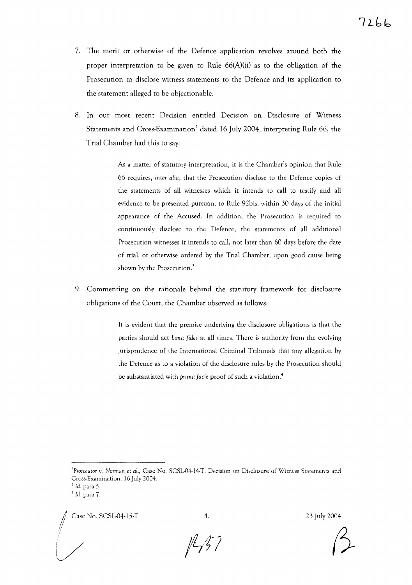- 7. The merit or otherwise of the Defence application revolves around both the proper interpretation to be given to Rule 66(A)(ii) as to the obligation of the Prosecution to disclose witness statements to the Defence and its application to the statement alleged to be objectionable.
- 8. In our most recent Decision entitled Decision on Disclosure of Witness Statements and Cross-Examination<sup>2</sup> dated 16 July 2004, interpreting Rule 66, the Trial Chamber had this to say:

As a matter of statutory interpretation, it is the Chamber's opinion that Rule 66 requires, *inter alia,* that the Prosecution disclose to the Defence copies of the statements of all witnesses which it intends to call to testify and all evidence to be presented pursuant to Rule 92bis, within 30 days of the initial appearance of the Accused. In addition, the Prosecution is required to continuously disclose to the Defence, the statements of all additional Prosecution witnesses it intends to call, not later than 60 days before the date of trial, or otherwise ordered by the Trial Chamber, upon good cause being shown by the Prosecution.<sup>3</sup>

9. Commenting on the rationale behind the statutory framework for disclosure obligations of the Court, the Chamber observed as follows:

> It is evident that the premise underlying the disclosure obligations is that the parties should act *bona fides* at all times. There is authority from the evolving jurisprudence of the International Criminal Tribunals that any allegation by the Defence as to a violation of the disclosure rules by the Prosecution should be substantiated with *prima facie* proof of such a violation.<sup>4</sup>

*2Prosecutor v. Norman* et *aI.,* Case No. SCSL·04·14·T, Decision on Disclosure of Wimess Statements and Cross.Examination, 16 July 2004.

•/ Case No. SCSL.()4·15·T 4. 23 July 2004

 $1237$ 

 $3$  *Id.* para 5.

 $4$  *Id.* para 7.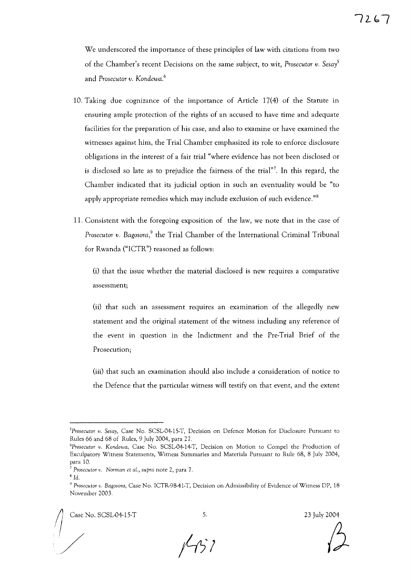We underscored the importance of these principles of law with citations from two of the Chamber's recent Decisions on the same subject, to wit, *Prosecutor v. Sesal* and *Prosecutor v. Kondewa. <sup>6</sup>*

- 10. Taking due cognizance of the importance of Article 17(4) of the Statute in ensuring ample protection of the rights of an accused to have time and adequate facilities for the preparation of his case, and also to examine or have examined the witnesses against him, the Trial Chamber emphasized its role to enforce disclosure obligations in the interest of a fair trial "where evidence has not been disclosed or is disclosed so late as to prejudice the fairness of the trial"7. In this regard, the Chamber indicated that its judicial option in such an eventuality would be "to apply appropriate remedies which may include exclusion of such evidence."<sup>8</sup>
- 11. Consistent with the foregoing exposition of the law, we note that in the case of *Prosecutor v. Bagosora*,<sup>9</sup> the Trial Chamber of the International Criminal Tribunal for Rwanda ("ICTR") reasoned as follows:

(i) that the issue whether the material disclosed is new requires a comparative assessment;

(ii) that such an assessment requires an examination of the allegedly new statement and the original statement of the witness including any reference of the event in question in the Indictment and the Pre-Trial Brief of the Prosecution;

(iii) that such an examination should also include a consideration of notice to the Defence that the particular witness will testify on that event, and the extent

/

5. 23 July 2004



*<sup>5</sup>Prosecutor v. Sesay,* Case No. SCSL-04-15·T, Decision on Defence Motion for Disclosure Pursuant to Rules 66 and 68 of Rules, 9 July 2004, para 27.

*<sup>6</sup>Prosecutor v. Kondewa,* Case No. SCSL·04·14·T, Decision on Motion to Compel the Production of Exculpatory Witness Statements, Wimess Summaries and Materials Pursuant to Rule 68, 8 July 2004, para 10.

*<sup>7</sup> Prosecutor v. Norman et* aL, *supra* note 2, para 7.

<sup>8</sup> *Id.*

*<sup>9</sup> Prosecutor v. Bagosora,* Case No. ICTR·98-41.T, Decision on Admissibility of Evidence of Witness DP, 18 November 2003.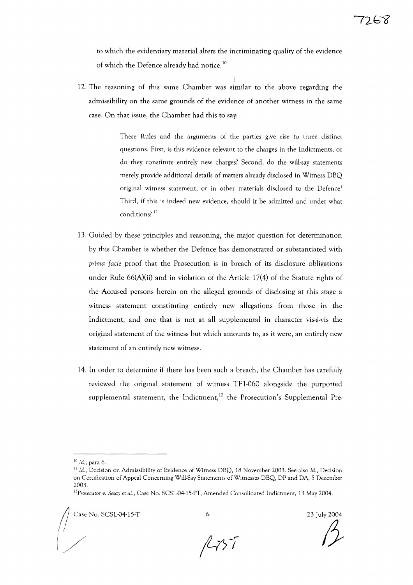to which the evidentiary material alters the incriminating quality of the evidence of which the Defence already had notice.<sup>10</sup>

12. The reasoning of this same Chamber was similar to the above regarding the admissibility on the same grounds of the evidence of another witness in the same case. On that issue, the Chamber had this to say:

> These Rules and the arguments of the parties give rise to three distinct questions. First, is this evidence relevant to the charges in the Indictments, or do they constitute entirely new charges? Second, do the will-say statements merely provide additional details of matters already disclosed in Witness DBQ original witness statement, or in other materials disclosed to the Defence? Third, if this is indeed new evidence, should it be admitted and under what conditions?<sup>11</sup>

- 13. Guided by these principles and reasoning, the major question for determination by this Chamber is whether the Defence has demonstrated or substantiated with *prima facie* proof that the Prosecution is in breach of its disclosure obligations under Rule 66(A)(ii) and in violation of the Article 17(4) of the Statute rights of the Accused persons herein on the alleged grounds of disclosing at this stage a witness statement constituting entirely new allegations from those in the Indictment, and one that is not at all supplemental in character vis-a-vis the original statement of the witness but which amounts to, as it were, an entirely new statement of an entirely new witness.
- 14. In order to determine if there has been such a breach, the Chamber has carefully reviewed the original statement of witness TFI-060 alongside the purported supplemental statement, the Indictment,<sup>12</sup> the Prosecution's Supplemental Pre-

6. 23 July 2004  $\beta$ 

 $1157$ 

<sup>10</sup> Id., para 6.

 $^{11}$  Id., Decision on Admissibility of Evidence of Witness DBQ, 18 November 2003. See also Id., Decision on Certification of Appeal Concerning Will-Say Statements of Witnesses DBQ, DP and DA, 5 December 2003.

*<sup>12</sup>Prosecutor v. Sesay* et *al.*, Case No. SCSL-04-15-PT, Amended Consolidated Indictment, 13 May 2004.<br>Case No. SCSL-04-15-T 6. 23 July 2014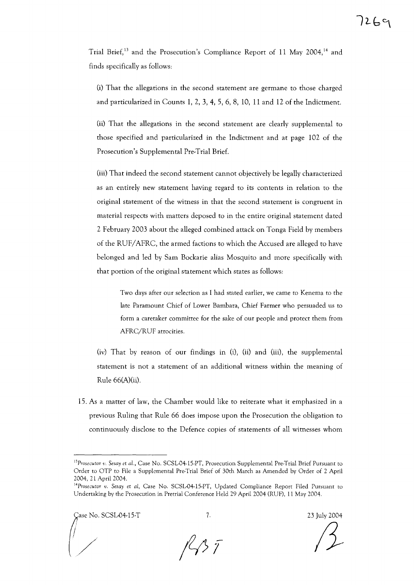Trial Brief,<sup>13</sup> and the Prosecution's Compliance Report of 11 May 2004,<sup>14</sup> and finds specifically as follows:

(i) That the allegations in the second statement are germane to those charged and particularized in Counts 1, 2, 3, 4, 5, 6, 8, 10, **11** and 12 of the Indictment.

(ii) That the allegations in the second statement are clearly supplemental to those specified and particularized in the Indictment and at page 102 of the Prosecution's Supplemental Pre-Trial Brief.

(iii) That indeed the second statement cannot objectively be legally characterized as an entirely new statement having regard to its contents in relation to the original statement of the witness in that the second statement is congruent in material respects with matters deposed to in the entire original statement dated 2 February 2003 about the alleged combined attack on Tonga Field by members of the RUF/AFRC, the armed factions to which the Accused are alleged to have belonged and led by Sam Bockarie alias Mosquito and more specifically with that portion of the original statement which states as follows:

Two days after our selection as I had stated earlier, we came to Kenema to the late Paramount Chief of Lower Bambara, Chief Farmer who persuaded us to form a caretaker committee for the sake of our people and protect them from AFRC/RUF atrocities.

(iv) That by reason of our findings in (i), (ii) and (iii), the supplemental statement is not a statement of an additional witness within the meaning of Rule 66(A)(ii).

15. As a matter of law, the Chamber would like to reiterate what it emphasized in a previous Ruling that Rule 66 does impose upon the Prosecution the obligation to continuously disclose to the Defence copies of statements of all witnesses whom

ase No. SCSL-04-15-T 23 July 2004

 $\sqrt{2}$ 

<sup>&</sup>lt;sup>13</sup>Prosecutor v. Sesay et al., Case No. SCSL-04-15-PT, Prosecution Supplemental Pre-Trial Brief Pursuant to Order to OTP to File a Supplemental Pre-Trial Brief of 30th March as Amended by Order of 2 April 2004,21 April 2004.

<sup>14</sup>Prosecutor *v. Sesay* et *at,* Case No. SCSL-04-15-PT, Updated Compliance Report Filed Pursuant to Undertaking by the Prosecution in Pretrial Conference Held 29 April 2004 (RUF), 11 May 2004.